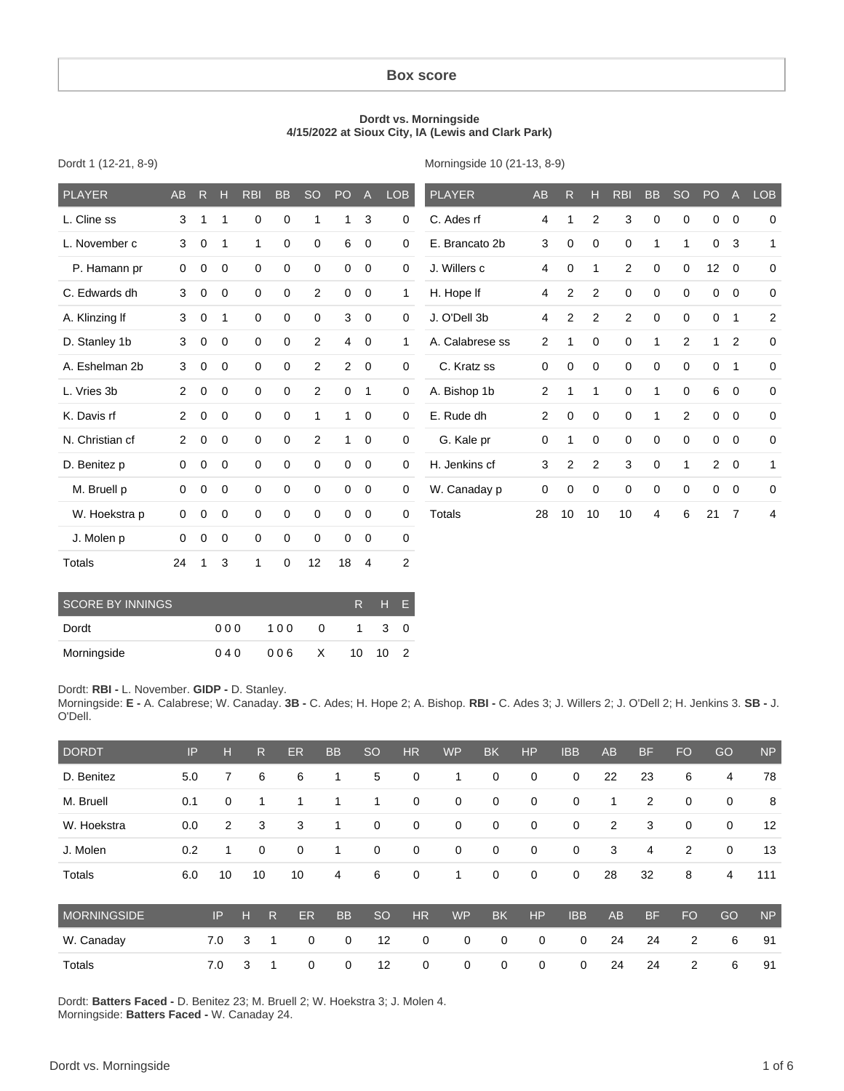#### **Box score**

#### **Dordt vs. Morningside 4/15/2022 at Sioux City, IA (Lewis and Clark Park)**

Dordt 1 (12-21, 8-9)

Morningside 10 (21-13, 8-9)

| <b>PLAYER</b>   | <b>AB</b>      | R           | н              | <b>RBI</b>   | <b>BB</b>   | <b>SO</b>      | PO <sub>1</sub> | $\overline{A}$ | <b>LOB</b>     | <b>PLAYER</b>   | AB             | $\mathsf{R}$ | н              | <b>RBI</b>     | <b>BB</b>    | <b>SO</b>    | PO             | $\overline{A}$ | LOB            |
|-----------------|----------------|-------------|----------------|--------------|-------------|----------------|-----------------|----------------|----------------|-----------------|----------------|--------------|----------------|----------------|--------------|--------------|----------------|----------------|----------------|
| L. Cline ss     | 3              | 1           | 1              | 0            | 0           | 1              | 1               | 3              | $\mathbf 0$    | C. Ades rf      | 4              |              | 2              | 3              | $\mathbf 0$  | 0            | $\mathbf 0$    | $\mathbf 0$    | $\mathbf 0$    |
| L. November c   | 3              | $\mathbf 0$ | $\mathbf 1$    | $\mathbf{1}$ | $\mathbf 0$ | 0              | 6               | $\overline{0}$ | $\mathbf 0$    | E. Brancato 2b  | 3              | 0            | $\mathbf 0$    | $\mathbf 0$    | $\mathbf{1}$ | $\mathbf{1}$ | $\mathbf 0$    | 3              | $\mathbf{1}$   |
| P. Hamann pr    | $\mathbf 0$    | 0           | 0              | $\mathbf 0$  | $\mathbf 0$ | 0              | $\mathbf 0$     | $\overline{0}$ | $\mathbf 0$    | J. Willers c    | 4              | 0            | 1              | 2              | $\mathbf 0$  | $\mathbf 0$  | 12             | $\mathbf 0$    | $\mathbf 0$    |
| C. Edwards dh   | 3              | 0           | $\mathbf 0$    | $\mathbf 0$  | $\mathbf 0$ | 2              | $\mathbf 0$     | $\mathbf 0$    | 1              | H. Hope If      | 4              | 2            | $\overline{2}$ | $\mathbf 0$    | $\mathbf 0$  | $\mathbf 0$  | $\mathbf 0$    | $\mathbf 0$    | $\mathbf 0$    |
| A. Klinzing If  | 3              | $\mathbf 0$ | 1              | $\mathbf 0$  | $\mathbf 0$ | 0              | 3               | $\mathbf 0$    | $\mathbf 0$    | J. O'Dell 3b    | $\overline{4}$ | 2            | 2              | $\overline{c}$ | $\mathbf 0$  | $\mathbf 0$  | $\mathbf 0$    | $\mathbf{1}$   | $\overline{c}$ |
| D. Stanley 1b   | 3              | $\mathbf 0$ | $\overline{0}$ | $\mathbf 0$  | $\mathbf 0$ | 2              | $\overline{4}$  | $\overline{0}$ | 1              | A. Calabrese ss | $\overline{2}$ | 1            | $\Omega$       | $\mathbf 0$    | $\mathbf{1}$ | 2            | $\mathbf{1}$   | 2              | $\Omega$       |
| A. Eshelman 2b  | 3              | 0           | $\mathbf 0$    | $\mathbf 0$  | 0           | 2              | $\overline{2}$  | $\overline{0}$ | $\mathbf 0$    | C. Kratz ss     | 0              | 0            | 0              | $\mathbf 0$    | $\mathbf 0$  | 0            | $\mathbf 0$    | 1              | $\mathbf 0$    |
| L. Vries 3b     | $\overline{2}$ | 0           | $\mathbf 0$    | 0            | $\mathbf 0$ | $\overline{2}$ | $\mathbf 0$     | $\overline{1}$ | $\mathbf 0$    | A. Bishop 1b    | 2              | 1            | 1              | $\mathbf 0$    | $\mathbf{1}$ | $\mathbf 0$  | 6              | $\mathbf 0$    | $\mathbf 0$    |
| K. Davis rf     | $\overline{2}$ | $\mathbf 0$ | $\overline{0}$ | $\mathbf 0$  | $\mathbf 0$ | 1              | $\mathbf{1}$    | $\overline{0}$ | $\mathbf 0$    | E. Rude dh      | $\overline{2}$ | $\Omega$     | $\mathbf 0$    | $\mathbf 0$    | $\mathbf{1}$ | 2            | $\mathbf 0$    | $\mathbf 0$    | $\Omega$       |
| N. Christian cf | $\overline{2}$ | 0           | $\overline{0}$ | $\mathbf 0$  | $\mathbf 0$ | 2              | $\mathbf{1}$    | $\mathbf 0$    | $\mathbf 0$    | G. Kale pr      | 0              | 1            | 0              | $\mathbf 0$    | $\mathbf 0$  | $\mathbf 0$  | $\mathbf 0$    | $\mathbf 0$    | $\mathbf 0$    |
| D. Benitez p    | 0              | 0           | $\mathbf 0$    | 0            | $\mathbf 0$ | 0              | $\mathbf 0$     | $\mathbf 0$    | $\mathbf 0$    | H. Jenkins cf   | 3              | 2            | $\overline{2}$ | 3              | $\mathbf 0$  | 1            | $\overline{2}$ | $\mathbf 0$    | $\mathbf{1}$   |
| M. Bruell p     | $\mathbf{0}$   | $\mathbf 0$ | $\overline{0}$ | $\mathbf 0$  | $\mathbf 0$ | 0              | $\mathbf 0$     | $\overline{0}$ | $\mathbf 0$    | W. Canaday p    | $\mathbf 0$    | $\mathbf 0$  | $\mathbf 0$    | $\mathbf 0$    | $\mathbf 0$  | $\mathbf 0$  | $\mathbf 0$    | $\mathbf 0$    | $\mathbf 0$    |
| W. Hoekstra p   | 0              | $\mathbf 0$ | 0              | $\mathbf 0$  | $\mathbf 0$ | 0              | $\mathbf 0$     | $\overline{0}$ | $\mathbf 0$    | <b>Totals</b>   | 28             | 10           | 10             | 10             | 4            | 6            | 21             | $\overline{7}$ | 4              |
| J. Molen p      | $\Omega$       | $\mathbf 0$ | 0              | $\mathbf 0$  | $\mathbf 0$ | $\Omega$       | $\mathbf 0$     | $\mathbf 0$    | $\mathbf 0$    |                 |                |              |                |                |              |              |                |                |                |
| Totals          | 24             |             | 3              | 1            | 0           | 12             | 18              | $\overline{4}$ | $\overline{2}$ |                 |                |              |                |                |              |              |                |                |                |

| <b>SCORE BY INNINGS</b> | R.   | $H$ $F$ |              |                |       |               |
|-------------------------|------|---------|--------------|----------------|-------|---------------|
| Dordt                   | 00 Q | 100     | $\Omega$     | $\overline{1}$ | 3 O   |               |
| Morningside             | 040  | 006     | $\mathsf{X}$ |                | 10 10 | $\mathcal{P}$ |

Dordt: **RBI -** L. November. **GIDP -** D. Stanley.

Morningside: **E -** A. Calabrese; W. Canaday. **3B -** C. Ades; H. Hope 2; A. Bishop. **RBI -** C. Ades 3; J. Willers 2; J. O'Dell 2; H. Jenkins 3. **SB -** J. O'Dell.

| <b>DORDT</b>       | IP  | Н   |   | R  | ER | <b>BB</b> | <b>SO</b>   | <b>HR</b>   | <b>WP</b>   | <b>BK</b>   | <b>HP</b>   | <b>IBB</b>  | <b>AB</b>      | <b>BF</b>      | <b>FO</b>      | GO          | <b>NP</b> |
|--------------------|-----|-----|---|----|----|-----------|-------------|-------------|-------------|-------------|-------------|-------------|----------------|----------------|----------------|-------------|-----------|
| D. Benitez         | 5.0 | 7   |   | 6  | 6  |           | 5           | 0           |             | 0           | 0           | $\mathbf 0$ | 22             | 23             | 6              | 4           | 78        |
| M. Bruell          | 0.1 | 0   |   | 1  | 1  |           | 1           | $\mathbf 0$ | 0           | $\mathbf 0$ | 0           | 0           | 1              | $\overline{2}$ | 0              | 0           | 8         |
| W. Hoekstra        | 0.0 | 2   |   | 3  | 3  |           | $\mathbf 0$ | 0           | 0           | $\mathbf 0$ | 0           | 0           | $\overline{2}$ | 3              | 0              | $\mathbf 0$ | 12        |
| J. Molen           | 0.2 | 1   |   | 0  | 0  |           | 0           | $\mathbf 0$ | 0           | $\mathbf 0$ | 0           | 0           | 3              | 4              | $\overline{2}$ | $\mathbf 0$ | 13        |
| Totals             | 6.0 | 10  |   | 10 | 10 | 4         | 6           | 0           | 1           | $\mathbf 0$ | $\mathbf 0$ | 0           | 28             | 32             | 8              | 4           | 111       |
| <b>MORNINGSIDE</b> |     | IP  | H | R. | ER | <b>BB</b> | <b>SO</b>   | <b>HR</b>   | <b>WP</b>   | <b>BK</b>   | <b>HP</b>   | <b>IBB</b>  | AB             | <b>BF</b>      | <b>FO</b>      | GO          | <b>NP</b> |
| W. Canaday         |     | 7.0 | 3 | 1  | 0  | 0         | 12          | $\mathbf 0$ | $\mathbf 0$ | 0           | $\mathbf 0$ | $\mathbf 0$ | 24             | 24             | 2              | 6           | 91        |
| Totals             |     | 7.0 | 3 | 1  | 0  | 0         | 12          | 0           | 0           | 0           | 0           | 0           | 24             | 24             | 2              | 6           | 91        |

Dordt: **Batters Faced -** D. Benitez 23; M. Bruell 2; W. Hoekstra 3; J. Molen 4. Morningside: **Batters Faced -** W. Canaday 24.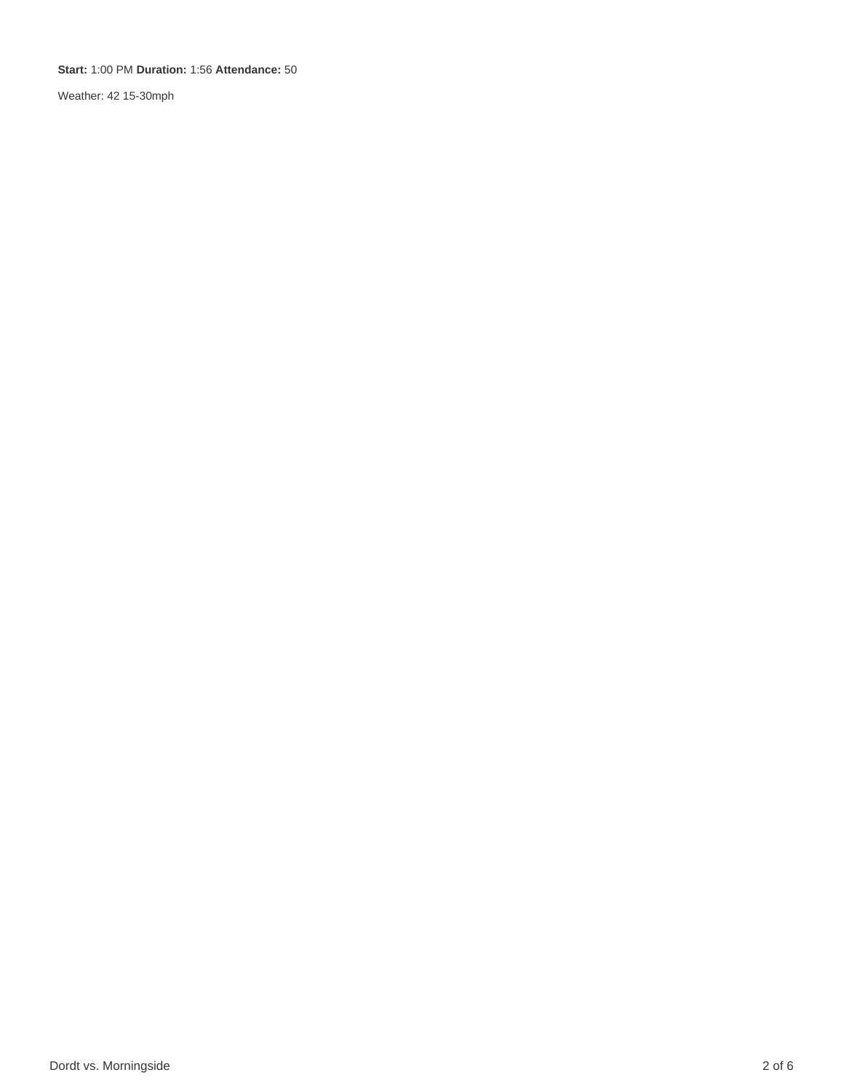**Start:** 1:00 PM **Duration:** 1:56 **Attendance:** 50

Weather: 42 15-30mph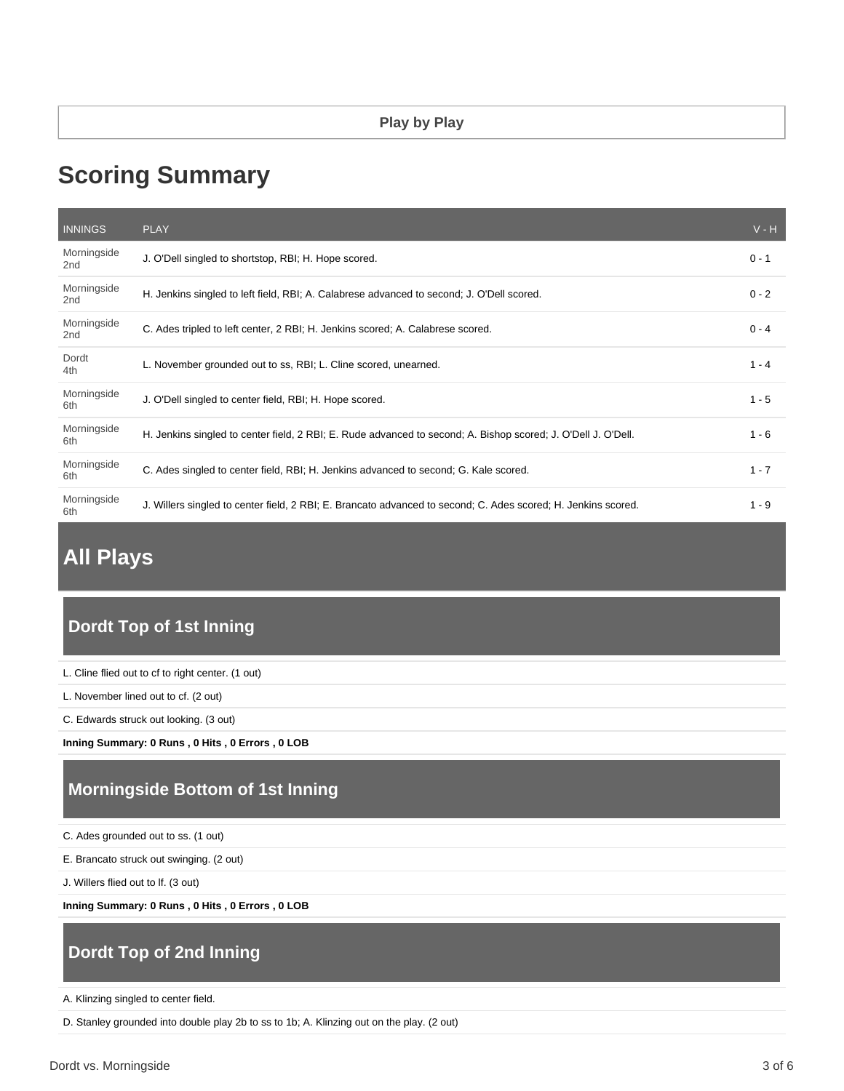# **Scoring Summary**

| <b>INNINGS</b>                 | <b>PLAY</b>                                                                                                   | $V - H$ |
|--------------------------------|---------------------------------------------------------------------------------------------------------------|---------|
| Morningside<br>2 <sub>nd</sub> | J. O'Dell singled to shortstop, RBI; H. Hope scored.                                                          | $0 - 1$ |
| Morningside<br>2 <sub>nd</sub> | H. Jenkins singled to left field, RBI; A. Calabrese advanced to second; J. O'Dell scored.                     | $0 - 2$ |
| Morningside<br>2 <sub>nd</sub> | C. Ades tripled to left center, 2 RBI; H. Jenkins scored; A. Calabrese scored.                                | $0 - 4$ |
| Dordt<br>4th                   | L. November grounded out to ss, RBI; L. Cline scored, unearned.                                               | $1 - 4$ |
| Morningside<br>6th             | J. O'Dell singled to center field, RBI; H. Hope scored.                                                       | $1 - 5$ |
| Morningside<br>6th             | H. Jenkins singled to center field, 2 RBI; E. Rude advanced to second; A. Bishop scored; J. O'Dell J. O'Dell. | $1 - 6$ |
| Morningside<br>6th             | C. Ades singled to center field, RBI; H. Jenkins advanced to second; G. Kale scored.                          | $1 - 7$ |
| Morningside<br>6th             | J. Willers singled to center field, 2 RBI; E. Brancato advanced to second; C. Ades scored; H. Jenkins scored. | $1 - 9$ |

## **All Plays**

### **Dordt Top of 1st Inning**

L. Cline flied out to cf to right center. (1 out)

L. November lined out to cf. (2 out)

C. Edwards struck out looking. (3 out)

**Inning Summary: 0 Runs , 0 Hits , 0 Errors , 0 LOB**

### **Morningside Bottom of 1st Inning**

C. Ades grounded out to ss. (1 out)

E. Brancato struck out swinging. (2 out)

J. Willers flied out to lf. (3 out)

**Inning Summary: 0 Runs , 0 Hits , 0 Errors , 0 LOB**

### **Dordt Top of 2nd Inning**

A. Klinzing singled to center field.

D. Stanley grounded into double play 2b to ss to 1b; A. Klinzing out on the play. (2 out)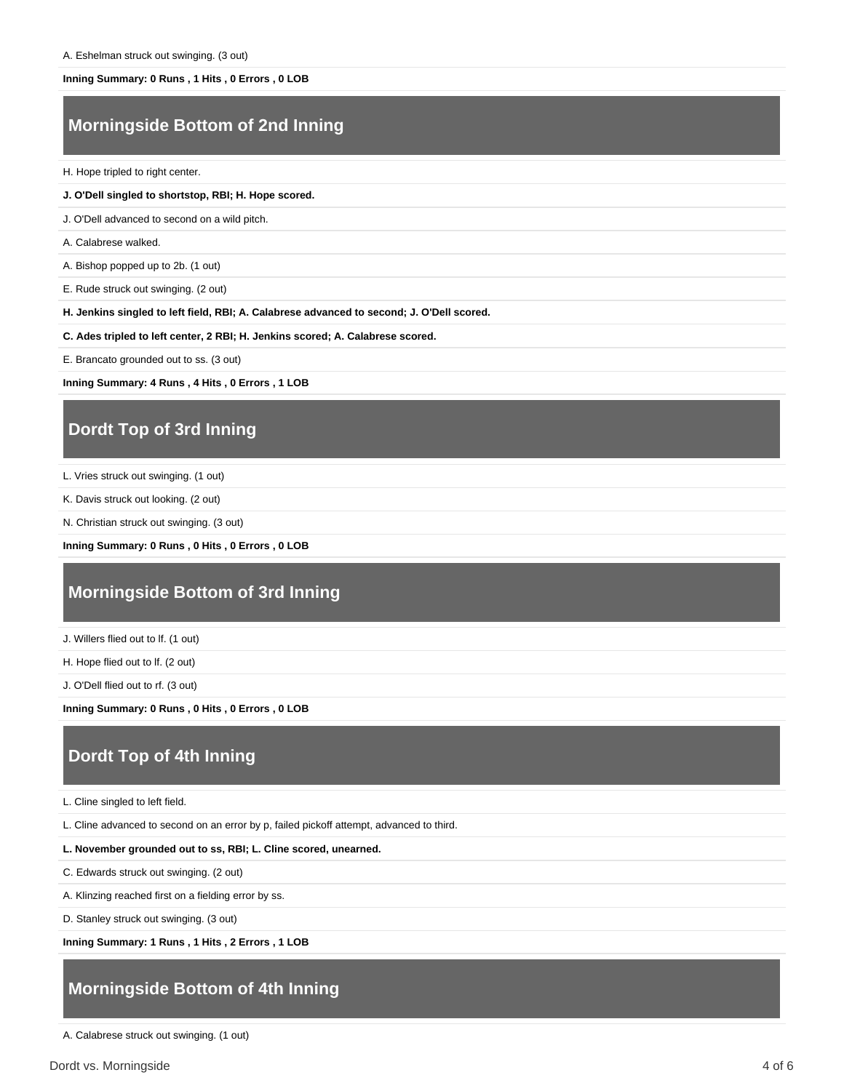#### **Inning Summary: 0 Runs , 1 Hits , 0 Errors , 0 LOB**

#### **Morningside Bottom of 2nd Inning**

H. Hope tripled to right center.

#### **J. O'Dell singled to shortstop, RBI; H. Hope scored.**

J. O'Dell advanced to second on a wild pitch.

A. Calabrese walked.

A. Bishop popped up to 2b. (1 out)

E. Rude struck out swinging. (2 out)

**H. Jenkins singled to left field, RBI; A. Calabrese advanced to second; J. O'Dell scored.**

**C. Ades tripled to left center, 2 RBI; H. Jenkins scored; A. Calabrese scored.**

E. Brancato grounded out to ss. (3 out)

**Inning Summary: 4 Runs , 4 Hits , 0 Errors , 1 LOB**

#### **Dordt Top of 3rd Inning**

L. Vries struck out swinging. (1 out)

K. Davis struck out looking. (2 out)

N. Christian struck out swinging. (3 out)

**Inning Summary: 0 Runs , 0 Hits , 0 Errors , 0 LOB**

#### **Morningside Bottom of 3rd Inning**

J. Willers flied out to lf. (1 out)

H. Hope flied out to lf. (2 out)

J. O'Dell flied out to rf. (3 out)

**Inning Summary: 0 Runs , 0 Hits , 0 Errors , 0 LOB**

#### **Dordt Top of 4th Inning**

L. Cline singled to left field.

L. Cline advanced to second on an error by p, failed pickoff attempt, advanced to third.

**L. November grounded out to ss, RBI; L. Cline scored, unearned.**

C. Edwards struck out swinging. (2 out)

A. Klinzing reached first on a fielding error by ss.

D. Stanley struck out swinging. (3 out)

**Inning Summary: 1 Runs , 1 Hits , 2 Errors , 1 LOB**

#### **Morningside Bottom of 4th Inning**

A. Calabrese struck out swinging. (1 out)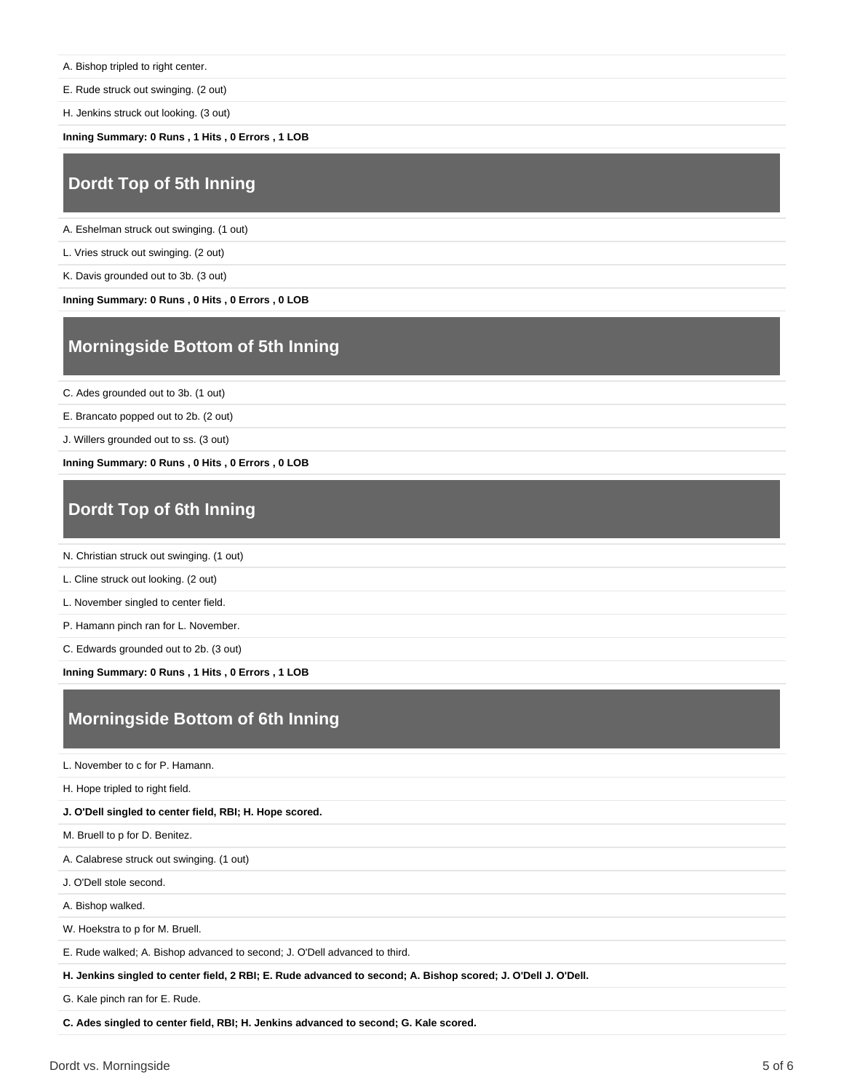A. Bishop tripled to right center.

E. Rude struck out swinging. (2 out)

H. Jenkins struck out looking. (3 out)

**Inning Summary: 0 Runs , 1 Hits , 0 Errors , 1 LOB**

#### **Dordt Top of 5th Inning**

A. Eshelman struck out swinging. (1 out)

L. Vries struck out swinging. (2 out)

K. Davis grounded out to 3b. (3 out)

**Inning Summary: 0 Runs , 0 Hits , 0 Errors , 0 LOB**

#### **Morningside Bottom of 5th Inning**

C. Ades grounded out to 3b. (1 out)

E. Brancato popped out to 2b. (2 out)

J. Willers grounded out to ss. (3 out)

**Inning Summary: 0 Runs , 0 Hits , 0 Errors , 0 LOB**

### **Dordt Top of 6th Inning**

N. Christian struck out swinging. (1 out)

L. Cline struck out looking. (2 out)

L. November singled to center field.

P. Hamann pinch ran for L. November.

C. Edwards grounded out to 2b. (3 out)

**Inning Summary: 0 Runs , 1 Hits , 0 Errors , 1 LOB**

### **Morningside Bottom of 6th Inning**

L. November to c for P. Hamann.

H. Hope tripled to right field.

**J. O'Dell singled to center field, RBI; H. Hope scored.**

M. Bruell to p for D. Benitez.

A. Calabrese struck out swinging. (1 out)

J. O'Dell stole second.

A. Bishop walked.

W. Hoekstra to p for M. Bruell.

E. Rude walked; A. Bishop advanced to second; J. O'Dell advanced to third.

**H. Jenkins singled to center field, 2 RBI; E. Rude advanced to second; A. Bishop scored; J. O'Dell J. O'Dell.**

G. Kale pinch ran for E. Rude.

**C. Ades singled to center field, RBI; H. Jenkins advanced to second; G. Kale scored.**